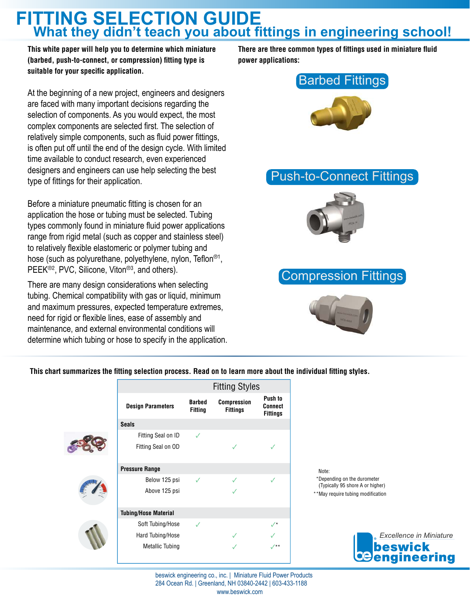**This white paper will help you to determine which miniature (barbed, push-to-connect, or compression) fitting type is suitable for your specific application.** 

At the beginning of a new project, engineers and designers are faced with many important decisions regarding the selection of components. As you would expect, the most complex components are selected first. The selection of relatively simple components, such as fluid power fittings, is often put off until the end of the design cycle. With limited time available to conduct research, even experienced designers and engineers can use help selecting the best type of fittings for their application.

Before a miniature pneumatic fitting is chosen for an application the hose or tubing must be selected. Tubing types commonly found in miniature fluid power applications range from rigid metal (such as copper and stainless steel) to relatively flexible elastomeric or polymer tubing and hose (such as polyurethane, polyethylene, nylon, Teflon<sup>®1</sup>, PEEK<sup>®2</sup>, PVC, Silicone, Viton<sup>®3</sup>, and others).

There are many design considerations when selecting tubing. Chemical compatibility with gas or liquid, minimum and maximum pressures, expected temperature extremes, need for rigid or flexible lines, ease of assembly and maintenance, and external environmental conditions will determine which tubing or hose to specify in the application. **There are three common types of fittings used in miniature fluid power applications:**



### Push-to-Connect Fittings



### Compression Fittings



**This chart summarizes the fitting selection process. Read on to learn more about the individual fitting styles.**

|  |                             | <b>Fitting Styles</b>           |                                |                                       |
|--|-----------------------------|---------------------------------|--------------------------------|---------------------------------------|
|  | <b>Design Parameters</b>    | <b>Barbed</b><br><b>Fitting</b> | Compression<br><b>Fittings</b> | Push to<br>Connect<br><b>Fittings</b> |
|  | <b>Seals</b>                |                                 |                                |                                       |
|  | Fitting Seal on ID          | ✓                               |                                |                                       |
|  | Fitting Seal on OD          |                                 | $\checkmark$                   | ✓                                     |
|  |                             |                                 |                                |                                       |
|  | <b>Pressure Range</b>       |                                 |                                |                                       |
|  | Below 125 psi               | $\checkmark$                    |                                | ✓                                     |
|  | Above 125 psi               |                                 | $\checkmark$                   |                                       |
|  |                             |                                 |                                |                                       |
|  | <b>Tubing/Hose Material</b> |                                 |                                |                                       |
|  | Soft Tubing/Hose            | ✓                               |                                | $\sqrt{*}$                            |
|  | Hard Tubing/Hose            |                                 | $\checkmark$                   |                                       |
|  | <b>Metallic Tubing</b>      |                                 | $\checkmark$                   | $\sqrt{14}$                           |
|  |                             |                                 |                                |                                       |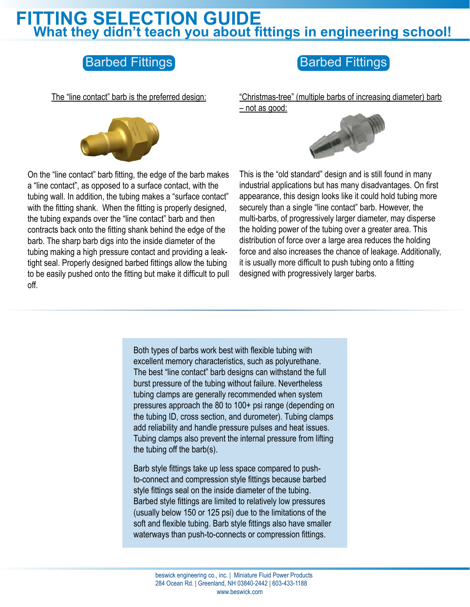## Barbed Fittings **Barbed Fittings**

The "line contact" barb is the preferred design:



"Christmas-tree" (multiple barbs of increasing diameter) barb – not as good:



On the "line contact" barb fitting, the edge of the barb makes a "line contact", as opposed to a surface contact, with the tubing wall. In addition, the tubing makes a "surface contact" with the fitting shank. When the fitting is properly designed, the tubing expands over the "line contact" barb and then contracts back onto the fitting shank behind the edge of the barb. The sharp barb digs into the inside diameter of the tubing making a high pressure contact and providing a leaktight seal. Properly designed barbed fittings allow the tubing to be easily pushed onto the fitting but make it difficult to pull off.

This is the "old standard" design and is still found in many industrial applications but has many disadvantages. On first appearance, this design looks like it could hold tubing more securely than a single "line contact" barb. However, the multi-barbs, of progressively larger diameter, may disperse the holding power of the tubing over a greater area. This distribution of force over a large area reduces the holding force and also increases the chance of leakage. Additionally, it is usually more difficult to push tubing onto a fitting designed with progressively larger barbs.

Both types of barbs work best with flexible tubing with excellent memory characteristics, such as polyurethane. The best "line contact" barb designs can withstand the full burst pressure of the tubing without failure. Nevertheless tubing clamps are generally recommended when system pressures approach the 80 to 100+ psi range (depending on the tubing ID, cross section, and durometer). Tubing clamps add reliability and handle pressure pulses and heat issues. Tubing clamps also prevent the internal pressure from lifting the tubing off the barb(s).

Barb style fittings take up less space compared to pushto-connect and compression style fittings because barbed style fittings seal on the inside diameter of the tubing. Barbed style fittings are limited to relatively low pressures (usually below 150 or 125 psi) due to the limitations of the soft and flexible tubing. Barb style fittings also have smaller waterways than push-to-connects or compression fittings.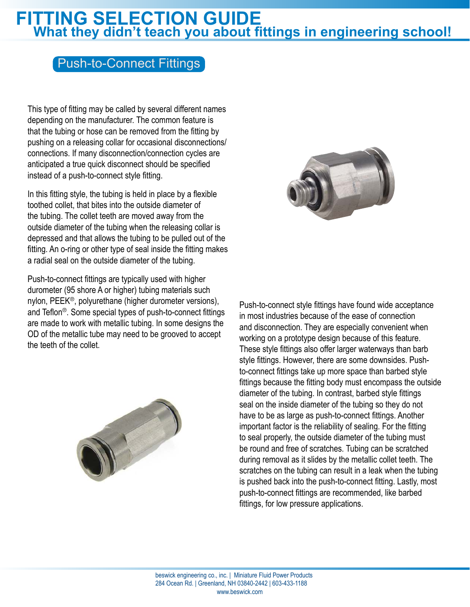### Push-to-Connect Fittings

This type of fitting may be called by several different names depending on the manufacturer. The common feature is that the tubing or hose can be removed from the fitting by pushing on a releasing collar for occasional disconnections/ connections. If many disconnection/connection cycles are anticipated a true quick disconnect should be specified instead of a push-to-connect style fitting.

In this fitting style, the tubing is held in place by a flexible toothed collet, that bites into the outside diameter of the tubing. The collet teeth are moved away from the outside diameter of the tubing when the releasing collar is depressed and that allows the tubing to be pulled out of the fitting. An o-ring or other type of seal inside the fitting makes a radial seal on the outside diameter of the tubing.

Push-to-connect fittings are typically used with higher durometer (95 shore A or higher) tubing materials such nylon, PEEK®, polyurethane (higher durometer versions), and Teflon®. Some special types of push-to-connect fittings are made to work with metallic tubing. In some designs the OD of the metallic tube may need to be grooved to accept the teeth of the collet.





Push-to-connect style fittings have found wide acceptance in most industries because of the ease of connection and disconnection. They are especially convenient when working on a prototype design because of this feature. These style fittings also offer larger waterways than barb style fittings. However, there are some downsides. Pushto-connect fittings take up more space than barbed style fittings because the fitting body must encompass the outside diameter of the tubing. In contrast, barbed style fittings seal on the inside diameter of the tubing so they do not have to be as large as push-to-connect fittings. Another important factor is the reliability of sealing. For the fitting to seal properly, the outside diameter of the tubing must be round and free of scratches. Tubing can be scratched during removal as it slides by the metallic collet teeth. The scratches on the tubing can result in a leak when the tubing is pushed back into the push-to-connect fitting. Lastly, most push-to-connect fittings are recommended, like barbed fittings, for low pressure applications.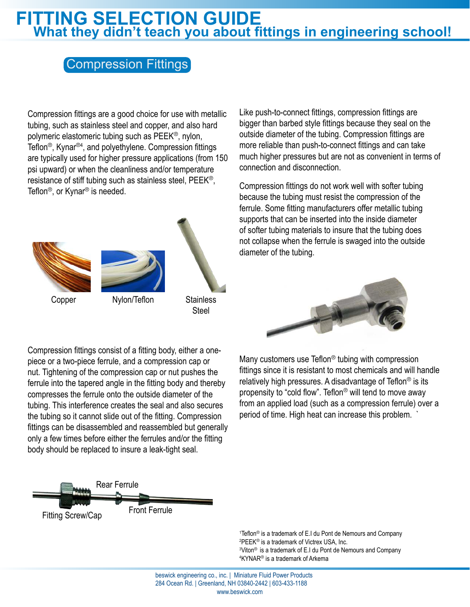### Compression Fittings

Compression fittings are a good choice for use with metallic tubing, such as stainless steel and copper, and also hard polymeric elastomeric tubing such as PEEK®, nylon, Teflon®, Kynar®<sup>4</sup> , and polyethylene. Compression fittings are typically used for higher pressure applications (from 150 psi upward) or when the cleanliness and/or temperature resistance of stiff tubing such as stainless steel, PEEK®, Teflon®, or Kynar® is needed.



**Steel** 

Compression fittings consist of a fitting body, either a onepiece or a two-piece ferrule, and a compression cap or nut. Tightening of the compression cap or nut pushes the ferrule into the tapered angle in the fitting body and thereby compresses the ferrule onto the outside diameter of the tubing. This interference creates the seal and also secures the tubing so it cannot slide out of the fitting. Compression fittings can be disassembled and reassembled but generally only a few times before either the ferrules and/or the fitting body should be replaced to insure a leak-tight seal.



Teflon<sup>®</sup> is a trademark of E.I du Pont de Nemours and Company PEEK® is a trademark of Victrex USA, Inc. <sup>3</sup>Viton<sup>®</sup> is a trademark of E.I du Pont de Nemours and Company KYNAR® is a trademark of Arkema

Like push-to-connect fittings, compression fittings are bigger than barbed style fittings because they seal on the outside diameter of the tubing. Compression fittings are more reliable than push-to-connect fittings and can take much higher pressures but are not as convenient in terms of connection and disconnection.

Compression fittings do not work well with softer tubing because the tubing must resist the compression of the ferrule. Some fitting manufacturers offer metallic tubing supports that can be inserted into the inside diameter of softer tubing materials to insure that the tubing does not collapse when the ferrule is swaged into the outside diameter of the tubing.



Many customers use Teflon® tubing with compression fittings since it is resistant to most chemicals and will handle relatively high pressures. A disadvantage of Teflon<sup>®</sup> is its propensity to "cold flow". Teflon® will tend to move away from an applied load (such as a compression ferrule) over a period of time. High heat can increase this problem. `